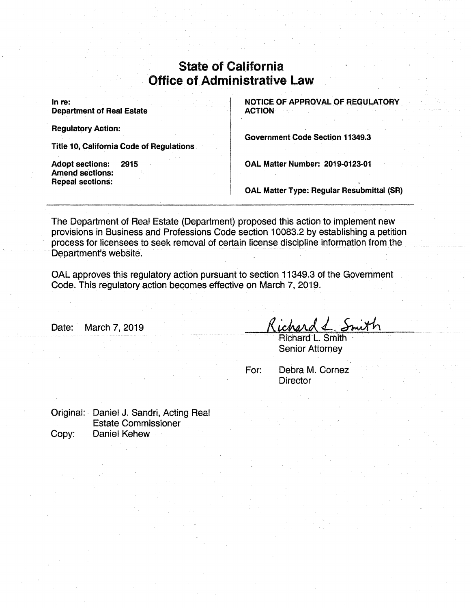# State of California Office of Administrative Law

In re: **Department of Real Estate**  **NOTICE OF APPROVAL OF REGULATORY ACTION** 

**Regulatory Action:** 

**Title 10, California Code of Regulations** 

**Adopt sections: 2915 Amend sections: Repeal sections:** 

**Government Code Section 11349.3** 

**OAL Matter Number: 2019-0123-01** 

**OAL Matter Type: Regular Resubmittal (SR)** 

The Department of Real Estate (Department) proposed this action to implement new provisions in Business and Professions Code section 10083.2 by establishing a petition process for licensees to seek removal of certain license discipline information from the Department's website.

OAL approves this regulatory action pursuant to section 11349.3 of the Government Code. This regulatory action becomes effective on March 7, 2019.

Date: March 7, 2019

Richard L. Smith Senior Attorney

For: Debra M. Cornez **Director** 

Original: Daniel J. Sandri, Acting Real Estate Commissioner Copy: Daniel Kehew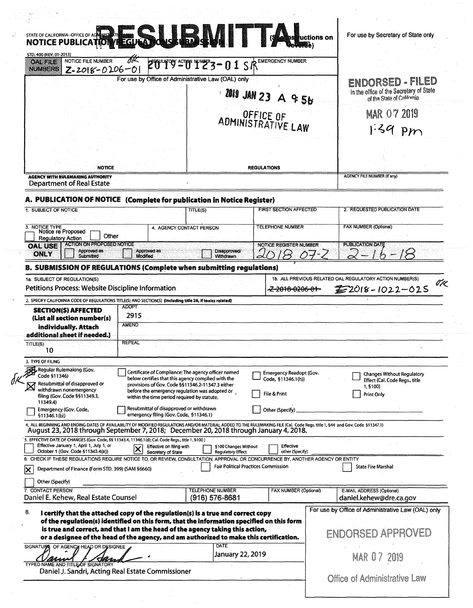|                                                                                                                                                                                                                                                                       |                                                                                                                                                                                                         |                                                     | STATE OF CALIFORNIA-OFFICE OF ADAMS DELTA CONSERVED AND SURVEY AND SURVEY AND SURVEY AND SURVEY AND AN OFFICE OF ADAMS THE COLLEGE OF A DAMS DELTA CONSERVED ON A DAMA OF THE COLLEGE OF A DAMA OF THE COLLEGE OF A DAMA OF TH | For use by Secretary of State only                                                            |
|-----------------------------------------------------------------------------------------------------------------------------------------------------------------------------------------------------------------------------------------------------------------------|---------------------------------------------------------------------------------------------------------------------------------------------------------------------------------------------------------|-----------------------------------------------------|--------------------------------------------------------------------------------------------------------------------------------------------------------------------------------------------------------------------------------|-----------------------------------------------------------------------------------------------|
| STD. 400 (REV, 01-2013)<br>NOTICE FILE NUMBER<br><b>OAL FILE</b><br>$Z = 2018 - 0206 - 0$<br><b>NUMBERS</b>                                                                                                                                                           |                                                                                                                                                                                                         |                                                     |                                                                                                                                                                                                                                |                                                                                               |
|                                                                                                                                                                                                                                                                       | For use by Office of Administrative Law (OAL) only                                                                                                                                                      |                                                     |                                                                                                                                                                                                                                | ENDORSED - FILED                                                                              |
|                                                                                                                                                                                                                                                                       |                                                                                                                                                                                                         |                                                     | 2019 JAN 23 A 9 5b                                                                                                                                                                                                             | in the office of the Secretary of State<br>of the State of California                         |
|                                                                                                                                                                                                                                                                       |                                                                                                                                                                                                         |                                                     | OFFICE OF ADMINISTRATIVE LAW                                                                                                                                                                                                   | <b>MAR 07 2019</b><br>$1.39$ pm                                                               |
|                                                                                                                                                                                                                                                                       |                                                                                                                                                                                                         |                                                     |                                                                                                                                                                                                                                |                                                                                               |
| <b>NOTICE</b><br><b>REGULATIONS</b><br><b>AGENCY WITH RULEMAKING AUTHORITY</b>                                                                                                                                                                                        |                                                                                                                                                                                                         |                                                     | <b>AGENCY FILE NUMBER (If any)</b>                                                                                                                                                                                             |                                                                                               |
| <b>Department of Real Estate</b>                                                                                                                                                                                                                                      |                                                                                                                                                                                                         |                                                     |                                                                                                                                                                                                                                |                                                                                               |
| A. PUBLICATION OF NOTICE (Complete for publication in Notice Register)                                                                                                                                                                                                |                                                                                                                                                                                                         |                                                     | <b>FIRST SECTION AFFECTED</b>                                                                                                                                                                                                  |                                                                                               |
| 1. SUBJECT OF NOTICE                                                                                                                                                                                                                                                  |                                                                                                                                                                                                         | TITLE(S)                                            |                                                                                                                                                                                                                                | 2. REQUESTED PUBLICATION DATE                                                                 |
| 3. NOTICE TYPE<br>Notice re Proposed<br>Other<br><b>Regulatory Action</b>                                                                                                                                                                                             |                                                                                                                                                                                                         | 4. AGENCY CONTACT PERSON                            | <b>TELEPHONE NUMBER</b>                                                                                                                                                                                                        | <b>FAX NUMBER (Optional)</b>                                                                  |
| ACTION ON PROPOSED NOTICE<br><b>OAL USE</b><br>Approved as<br><b>ONLY</b><br>Submitted                                                                                                                                                                                | Approved as<br>Modified                                                                                                                                                                                 | Disapproved/<br><b>Withdrawn</b>                    | <b>NOTICE REGISTER NUMBER</b>                                                                                                                                                                                                  | <b>PUBLICATION DATE</b>                                                                       |
| <b>B. SUBMISSION OF REGULATIONS (Complete when submitting regulations)</b>                                                                                                                                                                                            |                                                                                                                                                                                                         |                                                     |                                                                                                                                                                                                                                |                                                                                               |
| 1a. SUBJECT OF REGULATION(S)<br>Petitions Process: Website Discipline Information<br>2. SPECIFY CALIFORNIA CODE OF REGULATIONS TITLE(S) AND SECTION(S) (Including title 26, if toxics related)<br><b>SECTION(S) AFFECTED</b>                                          | <b>ADOPT</b>                                                                                                                                                                                            |                                                     | <del>-Z 2018-0206-01-</del>                                                                                                                                                                                                    | 1b. ALL PREVIOUS RELATED OAL REGULATORY ACTION NUMBER(S)<br>$2018 - 1022 - 025$               |
| (List all section number(s)<br>individually. Attach<br>additional sheet if needed.)<br>TITLE(S)                                                                                                                                                                       | 2915<br><b>AMEND</b><br><b>REPEAL</b>                                                                                                                                                                   |                                                     |                                                                                                                                                                                                                                |                                                                                               |
| 10                                                                                                                                                                                                                                                                    |                                                                                                                                                                                                         |                                                     |                                                                                                                                                                                                                                |                                                                                               |
| 3. TYPE OF FILING<br>Regular Rulemaking (Gov.<br>Code §11346)<br>Resubmittal of disapproved or<br>withdrawn nonemergency<br>filing (Gov. Code §§11349.3,<br>11349.4)                                                                                                  | below certifies that this agency complied with the<br>provisions of Gov. Code §§11346.2-11347.3 either<br>before the emergency regulation was adopted or<br>within the time period required by statute. | Certificate of Compliance: The agency officer named | Emergency Readopt (Gov.<br>Code, §11346.1(h))<br>File & Print                                                                                                                                                                  | <b>Changes Without Regulatory</b><br>Effect (Cal. Code Regs., title<br>1, §100)<br>Print Only |
| Emergency (Gov. Code,<br>\$11346.1(b)                                                                                                                                                                                                                                 | Resubmittal of disapproved or withdrawn<br>emergency filing (Gov. Code, §11346.1)                                                                                                                       |                                                     | Other (Specify)                                                                                                                                                                                                                |                                                                                               |
| 4. ALL BEGINNING AND ENDING DATES OF AVAILABILITY OF MODIFIED REGULATIONS AND/OR MATERIAL ADDED TO THE RULEMAKING FILE (Cal. Code Regs. title 1, 544 and Gov. Code §11347.1)<br>August 23, 2018 through September 7, 2018; December 20, 2018 through January 4, 2018. |                                                                                                                                                                                                         |                                                     |                                                                                                                                                                                                                                |                                                                                               |
| 5. EFFECTIVE DATE OF CHANGES (Gov. Code, §§ 11343.4, 11346.1(d); Cal. Code Regs., title 1, §100)<br>Effective January 1, April 1, July 1, or<br>October 1 (Gov. Code §11343.4(a))                                                                                     | Effective on filing with<br>Secretary of State                                                                                                                                                          | §100 Changes Without<br><b>Regulatory Effect</b>    | Effective<br>other (Specify)                                                                                                                                                                                                   |                                                                                               |
| 6. CHECK IF THESE REGULATIONS REQUIRE NOTICE TO, OR REVIEW, CONSULTATION, APPROVAL OR CONCURRENCE BY, ANOTHER AGENCY OR ENTITY<br>Department of Finance (Form STD. 399) (SAM §6660)<br>ΙX                                                                             |                                                                                                                                                                                                         |                                                     | <b>Fair Political Practices Commission</b>                                                                                                                                                                                     | <b>State Fire Marshal</b>                                                                     |
| Other (Specify)<br>7. CONTACT PERSON<br>Daniel E. Kehew, Real Estate Counsel                                                                                                                                                                                          |                                                                                                                                                                                                         | <b>TELEPHONE NUMBER</b><br>$(916) 576 - 8681$       | <b>FAX NUMBER (Optional)</b>                                                                                                                                                                                                   | E-MAIL ADDRESS (Optional)<br>daniel.kehew@dre.ca.gov                                          |
| 8.<br>I certify that the attached copy of the regulation(s) is a true and correct copy<br>of the regulation(s) identified on this form, that the information specified on this form                                                                                   |                                                                                                                                                                                                         |                                                     |                                                                                                                                                                                                                                | For use by Office of Administrative Law (OAL) only                                            |
| is true and correct, and that I am the head of the agency taking this action,<br>or a designee of the head of the agency, and am authorized to make this certification.                                                                                               |                                                                                                                                                                                                         |                                                     |                                                                                                                                                                                                                                | <b>ENDORSED APPROVED</b>                                                                      |
| SIGNATURE OF AGENCY HEAD OR DESIGNEE<br>TYPED NAME AND TITLE OF SIGNATORY                                                                                                                                                                                             |                                                                                                                                                                                                         | <b>DATE</b>                                         | <b>January 22, 2019</b>                                                                                                                                                                                                        | <b>MAR 07 2019</b>                                                                            |

 $\begin{aligned} \frac{1}{\sqrt{2}}\, \frac{1}{\sqrt{2}}\, \frac{1}{\sqrt{2}}\, \frac{1}{\sqrt{2}}\, \frac{1}{\sqrt{2}}\, \frac{1}{\sqrt{2}}\, \frac{1}{\sqrt{2}}\, \frac{1}{\sqrt{2}}\, \frac{1}{\sqrt{2}}\, \frac{1}{\sqrt{2}}\, \frac{1}{\sqrt{2}}\, \frac{1}{\sqrt{2}}\, \frac{1}{\sqrt{2}}\, \frac{1}{\sqrt{2}}\, \frac{1}{\sqrt{2}}\, \frac{1}{\sqrt{2}}\, \frac{1}{\sqrt{2}}\, \frac{1}{\sqrt{2}}\$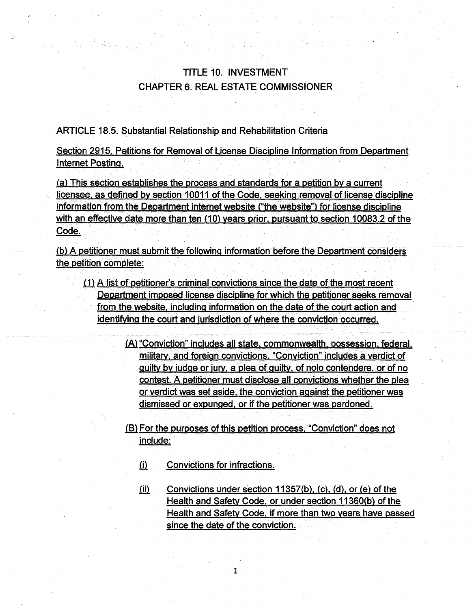# TITLE 10. INVESTMENT CHAPTER 6. REAL ESTATE COMMISSiONER

ARTICLE 18.5. Substantial Relationship and Rehabilitation Criteria

Ran Michigan

Section 2915. Petitions for Removal of License Discipline Information from Department Internet Posting.

(a) This section establishes the process and standards for a petition by a current licensee, as defined by section 10011 of the Code, seeking removal of license discipline information from the Department internet website ("the website") for license discipline with an effective date more than ten (10) years prior, pursuant to section 10083.2 of the Code.

(b) A petitioner must submit the following information before the Department considers the petition complete:

- $i$ l) A list of petitioner's criminal convictions since the date of the most recent Department imposed license discipline for which the petitioner seeks removal from the website, including information on the date of the court action and identifying the court and jurisdiction of where the conviction occurred.
	- (A) "Conviction" includes all state. commonwealth, possession, federal, military, and foreign convictions. "Conviction" includes a verdict of guilty by judge or jury, a plea of guilty, of nolo contendere, or of no contest. A petitioner must disclose all convictions whether the plea or verdict was set aside, the conviction against the petitioner was dismissed or expunged, or if the petitioner was pardoned .

.{fil For the purposes of this petition process, "Conviction" does not include:

.ill Convictions for infractions.

(ii) Convictions under section  $11357(b)$ , (c), (d), or (e) of the Health and Safety Code, or under section 11360(b} of the Health and Safety Code. if more than two years have passed since the date of the conviction.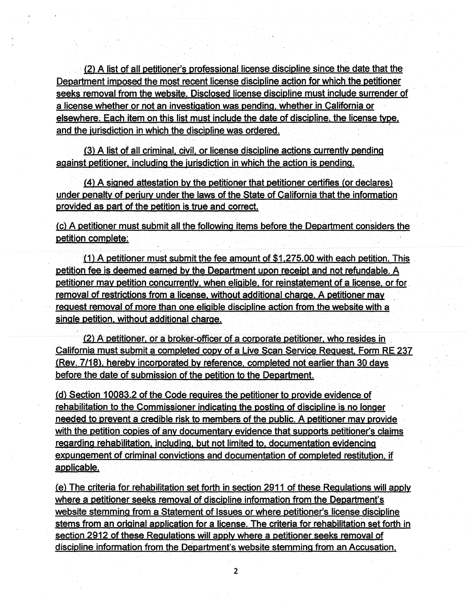· (2) A list of all petitioner's professional license discipline since the date that the Department imposed the most recent license discipline action for which the petitioner seeks removal from the website. Disclosed license discipline must include surrender of a license whether or not an investigation was pending, whether in California or elsewhere. Each item on this list must include the date of discipline, the license type. and the jurisdiction in which the discipline was ordered.

(3) A list of all criminal, civil. or license discipline actions currently pending against petitioner, including the iurisdiction in which the action is pending.

(4) A signed attestation by the petitioner that petitioner certifies (or declares) under penalty of perjury under the laws of the State of California that the information provided as part of the petition is true and correct.

(c) A petitioner must submit all the following items before the Department considers the petition complete:

(1) A petitioner must submit the fee amount of \$1,275.00 with each petition. This petition fee is deemed earned by the Department upon receipt and not refundable. A petitioner may petition concurrently, when eligible, for reinstatement of a license, or for. removal of restrictions from a license, without additional charge. A petitioner may . request removal of more than one eligible discipline action from the website with a single petition, without additional charge.

 $(2)$  A petitioner, or a broker-officer of a corporate petitioner, who resides in California must submit a completed copy of a Live Scan Service Request, Form RE 237 (Rev. 7/18), hereby incorporated by reference, completed not earlier than 30 days before the date of submission of the petition to the Department.

(d) Section 10083.2 of the Code requires the petitioner to provide evidence of rehabilitation to the Commissioner indicating the posting of discipline is no longer needed to prevent a credible risk to members of the public. A petitioner may provide with the petition copies of any documentary evidence that supports petitioner's claims regarding rehabilitation, including, but not limited to,. documentation evidencing expungement of criminal convictions and documentation of completed restitution, if applicable.

(e) The criteria for rehabilitation set forth in section 2911 of these Regulations will apply where a petitioner seeks removal of discipline information from the Department's website stemming from a Statement of Issues or where petitioner's license discipline stems from an original application for a license. The criteria for rehabilitation set forth in section 2912 of these Regulations will apply where a petitioner seeks removal of discipline information from the Department's website stemming from an Accusation,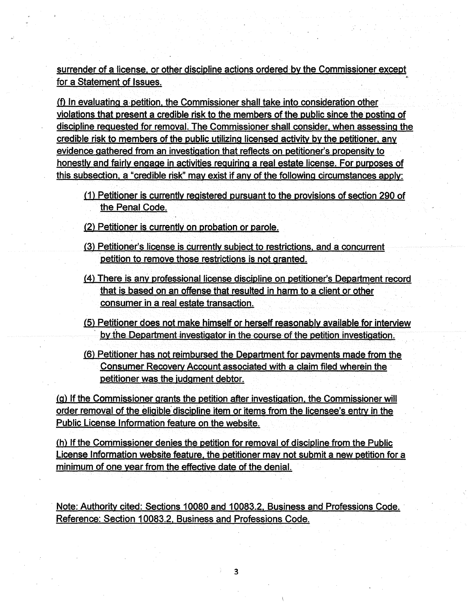surrender of a license. or other discipline actions ordered·by the Commissioner except for a Statement of Issues.

(f\_) In evaluating a-petition, the Commissioner shall take into consideration other violations that present a credible risk to the members of the public since the posting of discipline requested for removal. The Commissioner shall consider. when assessing the credible risk to members of the public utilizing licensed activity by the petitioner. any evidence gathered from an investigation that reflects on petitioner's propensity to honestly and fairly engage in activities requiring a real estate license. For purposes of this subsection, a "credible risk'' may exist if any of the following circumstances apply:

- (1) Petitioner is currently registered pursuant to the provisions of section 290 of the Penal Code.
- (2) Petitioner is currently on probation or parole.
- (3) Petitioner's license is currently subject to restrictions. and a concurrent petition to remove those restrictions is not granted.
- (4) There is any professional license discipline on petitioner's Department record that is based on an offense that resulted in harm to a client or other consumer in a real estate transaction.
- (5) Petitioner does not make himself or herself reasonably available for interview by the Department investigator in the course of the petition investigation.
- (6) Petitioner has not reimbursed the Department for payments made from the Consumer Recovery Account associated with a claim filed wherein the petitioner was the judgment debtor.

(g) If the Commissioner grants the petition after investigation, the Commissioner will order removal of the eligible discipline item or items from the licensee's entry in the Public License Information feature on the website.

(h) If the Commissioner denies the petition for removal of discipline from the Public License Information website feature, the petitioner may not submit a new petition for a minimum of one year from the effective date of the denial.

Note: Authority cited: Sections 10080 and 10083.2, Business and Professions Code. · Reference: Section 10083.2, Business and Professions Code.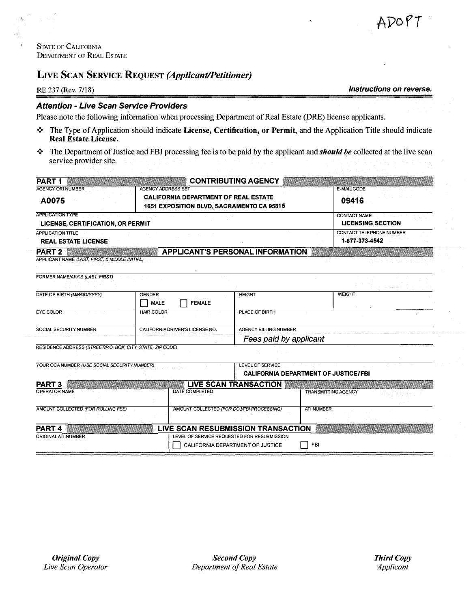## **LIVE SCAN SERVICE REQUEST** *(Applicant/Petitioner)*

RE 237 (Rev. 7/18) *Instructions on reverse.* 

### *Attention* - *Live Scan Service Providers*

Please note the following information when processing Department of Real Estate (DRE) license applicants.

- ❖ The Type of Application should indicate **License, Certification, or Permit,** and the Application Title should indicate **Real Estate License.**
- ❖ The Department ofJustice and FBI processing fee is to be paid by the applicant and *should be* collected at the live scan service provider site.

| <b>PART1</b>                                                              |                                                                                                                       | <b>CONTRIBUTING AGENCY</b>                                             |                             |  |  |  |
|---------------------------------------------------------------------------|-----------------------------------------------------------------------------------------------------------------------|------------------------------------------------------------------------|-----------------------------|--|--|--|
| <b>AGENCY ORI NUMBER</b><br>A0075                                         | <b>AGENCY ADDRESS SET</b><br><b>CALIFORNIA DEPARTMENT OF REAL ESTATE</b><br>1651 EXPOSITION BLVD, SACRAMENTO CA 95815 |                                                                        | <b>E-MAIL CODE</b><br>09416 |  |  |  |
| <b>APPLICATION TYPE</b><br><b>LICENSE, CERTIFICATION, OR PERMIT</b>       |                                                                                                                       | <b>CONTACT NAME</b><br><b>LICENSING SECTION</b>                        |                             |  |  |  |
| <b>APPLICATION TITLE</b><br><b>REAL ESTATE LICENSE</b>                    |                                                                                                                       | CONTACT TELEPHONE NUMBER<br>1-877-373-4542                             |                             |  |  |  |
| PART <sub>2</sub><br>APPLICANT NAME (LAST, FIRST, & MIDDLE INITIAL)       |                                                                                                                       | <b>APPLICANT'S PERSONAL INFORMATION</b>                                |                             |  |  |  |
| FORMER NAME/AKA'S (LAST, FIRST)                                           |                                                                                                                       |                                                                        |                             |  |  |  |
| DATE OF BIRTH (MM/DD/YYYY)                                                | <b>GENDER</b><br><b>FEMALE</b><br><b>MALE</b>                                                                         | <b>HEIGHT</b>                                                          | <b>WEIGHT</b>               |  |  |  |
| EYE COLOR                                                                 | <b>HAIR COLOR</b>                                                                                                     | PLACE OF BIRTH                                                         |                             |  |  |  |
| SOCIAL SECURITY NUMBER                                                    | CALIFORNIA DRIVER'S LICENSE NO.                                                                                       | <b>AGENCY BILLING NUMBER</b><br>Fees paid by applicant                 |                             |  |  |  |
| RESIDENCE ADDRESS (STREET/P.O. BOX, CITY, STATE, ZIP CODE)                |                                                                                                                       |                                                                        |                             |  |  |  |
| YOUR OCA NUMBER (USE SOCIAL SECURITY NUMBER)                              |                                                                                                                       | <b>LEVEL OF SERVICE</b><br><b>CALIFORNIA DEPARTMENT OF JUSTICE/FBI</b> |                             |  |  |  |
| PART <sub>3</sub>                                                         |                                                                                                                       | <b>LIVE SCAN TRANSACTION</b>                                           |                             |  |  |  |
| <b>OPERATOR NAME</b>                                                      | <b>DATE COMPLETED</b>                                                                                                 |                                                                        | <b>TRANSMITTING AGENCY</b>  |  |  |  |
| AMOUNT COLLECTED (FOR ROLLING FEE)                                        |                                                                                                                       | AMOUNT COLLECTED (FOR DOJ/FBI PROCESSING)                              | <b>ATI NUMBER</b>           |  |  |  |
| PART <sub>4</sub>                                                         |                                                                                                                       | LIVE SCAN RESUBMISSION TRANSACTION                                     |                             |  |  |  |
| <b>ORIGINAL ATI NUMBER</b><br>LEVEL OF SERVICE REQUESTED FOR RESUBMISSION |                                                                                                                       |                                                                        |                             |  |  |  |
|                                                                           |                                                                                                                       | CALIFORNIA DEPARTMENT OF JUSTICE                                       | <b>FBI</b>                  |  |  |  |